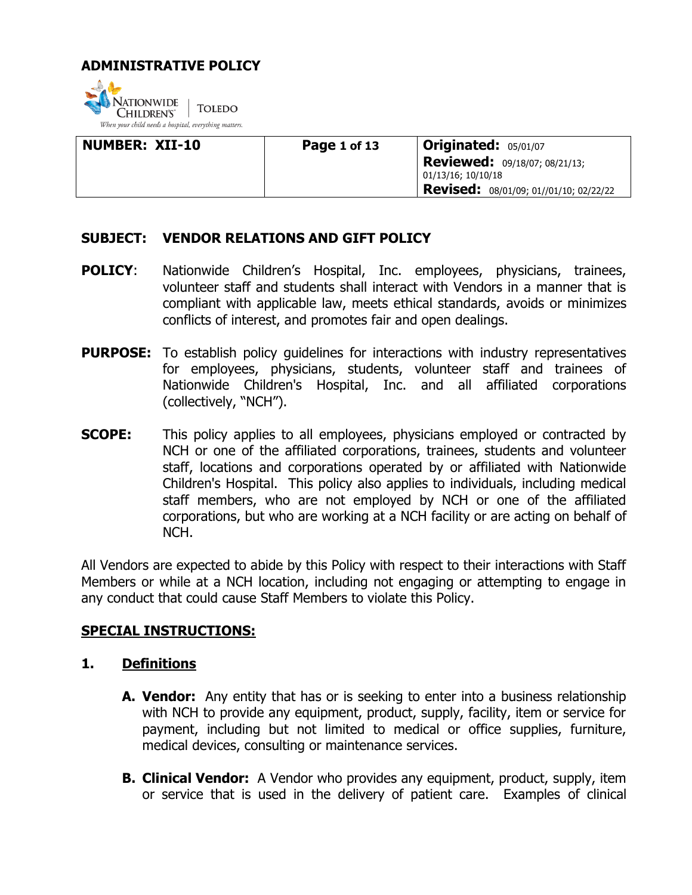

| <b>NUMBER: XII-10</b> | Page 1 of 13 | <b>Originated: 05/01/07</b>                                |
|-----------------------|--------------|------------------------------------------------------------|
|                       |              | <b>Reviewed:</b> 09/18/07; 08/21/13;<br>01/13/16; 10/10/18 |
|                       |              | Revised: 08/01/09; 01//01/10; 02/22/22                     |

### **SUBJECT: VENDOR RELATIONS AND GIFT POLICY**

- **POLICY:** Nationwide Children's Hospital, Inc. employees, physicians, trainees, volunteer staff and students shall interact with Vendors in a manner that is compliant with applicable law, meets ethical standards, avoids or minimizes conflicts of interest, and promotes fair and open dealings.
- **PURPOSE:** To establish policy quidelines for interactions with industry representatives for employees, physicians, students, volunteer staff and trainees of Nationwide Children's Hospital, Inc. and all affiliated corporations (collectively, "NCH").
- **SCOPE:** This policy applies to all employees, physicians employed or contracted by NCH or one of the affiliated corporations, trainees, students and volunteer staff, locations and corporations operated by or affiliated with Nationwide Children's Hospital. This policy also applies to individuals, including medical staff members, who are not employed by NCH or one of the affiliated corporations, but who are working at a NCH facility or are acting on behalf of NCH.

All Vendors are expected to abide by this Policy with respect to their interactions with Staff Members or while at a NCH location, including not engaging or attempting to engage in any conduct that could cause Staff Members to violate this Policy.

### **SPECIAL INSTRUCTIONS:**

### **1. Definitions**

- **A. Vendor:** Any entity that has or is seeking to enter into a business relationship with NCH to provide any equipment, product, supply, facility, item or service for payment, including but not limited to medical or office supplies, furniture, medical devices, consulting or maintenance services.
- **B. Clinical Vendor:** A Vendor who provides any equipment, product, supply, item or service that is used in the delivery of patient care. Examples of clinical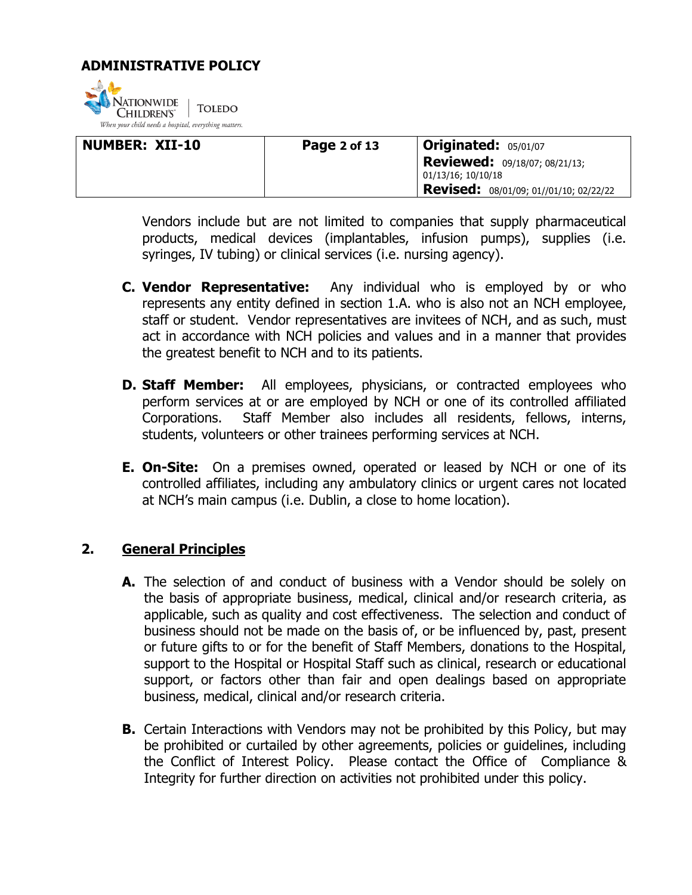

| <b>NUMBER: XII-10</b> | Page 2 of 13 | <b>Originated: 05/01/07</b>                                |
|-----------------------|--------------|------------------------------------------------------------|
|                       |              | <b>Reviewed:</b> 09/18/07; 08/21/13;<br>01/13/16; 10/10/18 |
|                       |              | Revised: 08/01/09; 01//01/10; 02/22/22                     |

Vendors include but are not limited to companies that supply pharmaceutical products, medical devices (implantables, infusion pumps), supplies (i.e. syringes, IV tubing) or clinical services (i.e. nursing agency).

- **C. Vendor Representative:** Any individual who is employed by or who represents any entity defined in section 1.A. who is also not an NCH employee, staff or student. Vendor representatives are invitees of NCH, and as such, must act in accordance with NCH policies and values and in a manner that provides the greatest benefit to NCH and to its patients.
- **D. Staff Member:** All employees, physicians, or contracted employees who perform services at or are employed by NCH or one of its controlled affiliated Corporations. Staff Member also includes all residents, fellows, interns, students, volunteers or other trainees performing services at NCH.
- **E. On-Site:** On a premises owned, operated or leased by NCH or one of its controlled affiliates, including any ambulatory clinics or urgent cares not located at NCH's main campus (i.e. Dublin, a close to home location).

### **2. General Principles**

- **A.** The selection of and conduct of business with a Vendor should be solely on the basis of appropriate business, medical, clinical and/or research criteria, as applicable, such as quality and cost effectiveness. The selection and conduct of business should not be made on the basis of, or be influenced by, past, present or future gifts to or for the benefit of Staff Members, donations to the Hospital, support to the Hospital or Hospital Staff such as clinical, research or educational support, or factors other than fair and open dealings based on appropriate business, medical, clinical and/or research criteria.
- **B.** Certain Interactions with Vendors may not be prohibited by this Policy, but may be prohibited or curtailed by other agreements, policies or guidelines, including the Conflict of Interest Policy. Please contact the Office of Compliance & Integrity for further direction on activities not prohibited under this policy.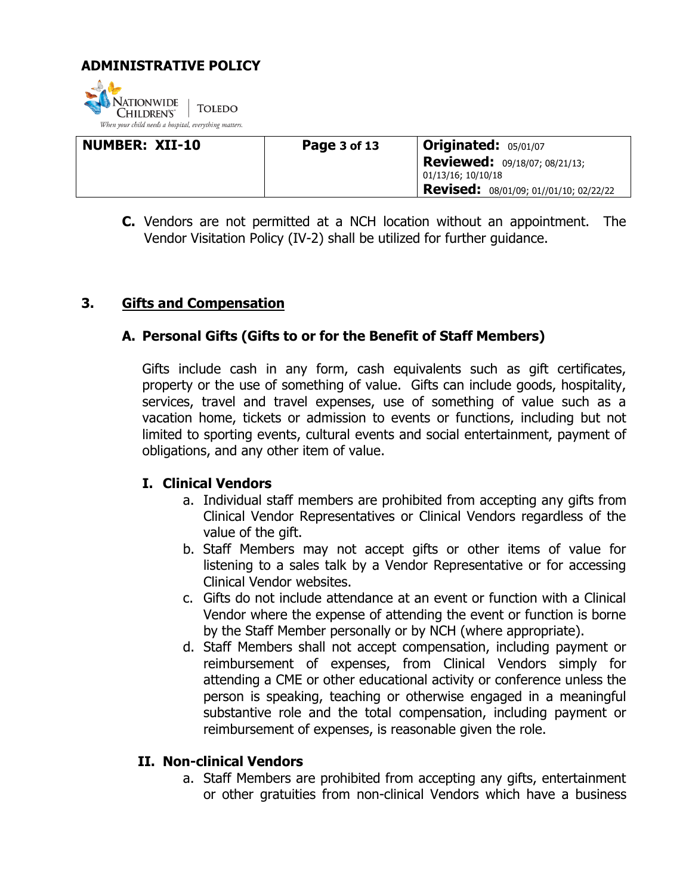

| <b>NUMBER: XII-10</b> | Page 3 of 13 | <b>Originated: 05/01/07</b>                                |
|-----------------------|--------------|------------------------------------------------------------|
|                       |              | <b>Reviewed:</b> 09/18/07; 08/21/13;<br>01/13/16; 10/10/18 |
|                       |              | Revised: 08/01/09; 01//01/10; 02/22/22                     |

**C.** Vendors are not permitted at a NCH location without an appointment. The Vendor Visitation Policy (IV-2) shall be utilized for further guidance.

### **3. Gifts and Compensation**

### **A. Personal Gifts (Gifts to or for the Benefit of Staff Members)**

Gifts include cash in any form, cash equivalents such as gift certificates, property or the use of something of value. Gifts can include goods, hospitality, services, travel and travel expenses, use of something of value such as a vacation home, tickets or admission to events or functions, including but not limited to sporting events, cultural events and social entertainment, payment of obligations, and any other item of value.

### **I. Clinical Vendors**

- a. Individual staff members are prohibited from accepting any gifts from Clinical Vendor Representatives or Clinical Vendors regardless of the value of the gift.
- b. Staff Members may not accept gifts or other items of value for listening to a sales talk by a Vendor Representative or for accessing Clinical Vendor websites.
- c. Gifts do not include attendance at an event or function with a Clinical Vendor where the expense of attending the event or function is borne by the Staff Member personally or by NCH (where appropriate).
- d. Staff Members shall not accept compensation, including payment or reimbursement of expenses, from Clinical Vendors simply for attending a CME or other educational activity or conference unless the person is speaking, teaching or otherwise engaged in a meaningful substantive role and the total compensation, including payment or reimbursement of expenses, is reasonable given the role.

### **II. Non-clinical Vendors**

a. Staff Members are prohibited from accepting any gifts, entertainment or other gratuities from non-clinical Vendors which have a business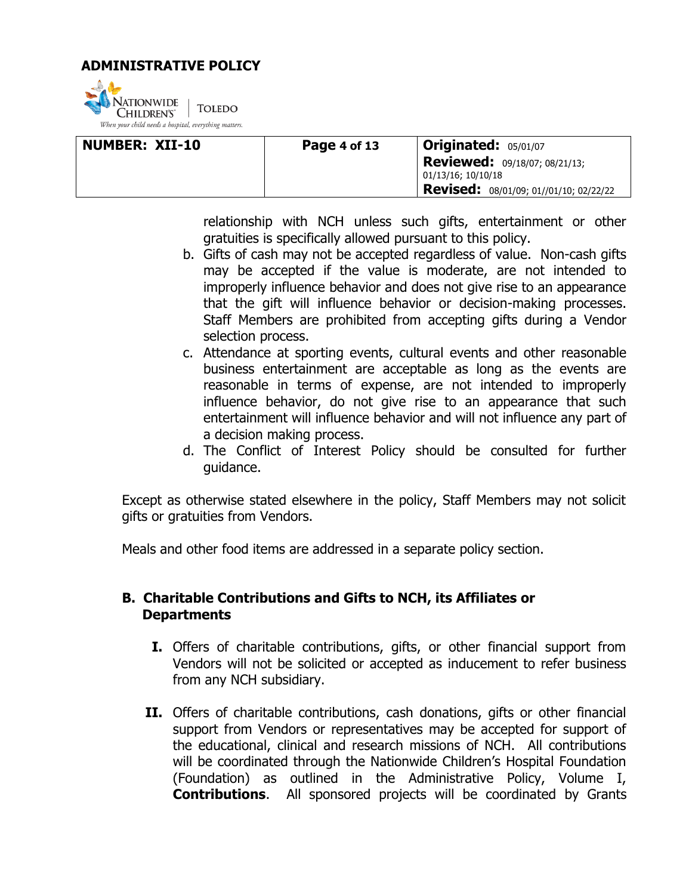

| <b>NUMBER: XII-10</b> | Page 4 of 13 | <b>Originated: 05/01/07</b>                                |
|-----------------------|--------------|------------------------------------------------------------|
|                       |              | <b>Reviewed:</b> 09/18/07; 08/21/13;<br>01/13/16; 10/10/18 |
|                       |              | <b>Revised:</b> 08/01/09; 01//01/10; 02/22/22              |

relationship with NCH unless such gifts, entertainment or other gratuities is specifically allowed pursuant to this policy.

- b. Gifts of cash may not be accepted regardless of value. Non-cash gifts may be accepted if the value is moderate, are not intended to improperly influence behavior and does not give rise to an appearance that the gift will influence behavior or decision-making processes. Staff Members are prohibited from accepting gifts during a Vendor selection process.
- c. Attendance at sporting events, cultural events and other reasonable business entertainment are acceptable as long as the events are reasonable in terms of expense, are not intended to improperly influence behavior, do not give rise to an appearance that such entertainment will influence behavior and will not influence any part of a decision making process.
- d. The Conflict of Interest Policy should be consulted for further guidance.

Except as otherwise stated elsewhere in the policy, Staff Members may not solicit gifts or gratuities from Vendors.

Meals and other food items are addressed in a separate policy section.

### **B. Charitable Contributions and Gifts to NCH, its Affiliates or Departments**

- **I.** Offers of charitable contributions, gifts, or other financial support from Vendors will not be solicited or accepted as inducement to refer business from any NCH subsidiary.
- **II.** Offers of charitable contributions, cash donations, gifts or other financial support from Vendors or representatives may be accepted for support of the educational, clinical and research missions of NCH. All contributions will be coordinated through the Nationwide Children's Hospital Foundation (Foundation) as outlined in the Administrative Policy, Volume I, **Contributions**. All sponsored projects will be coordinated by Grants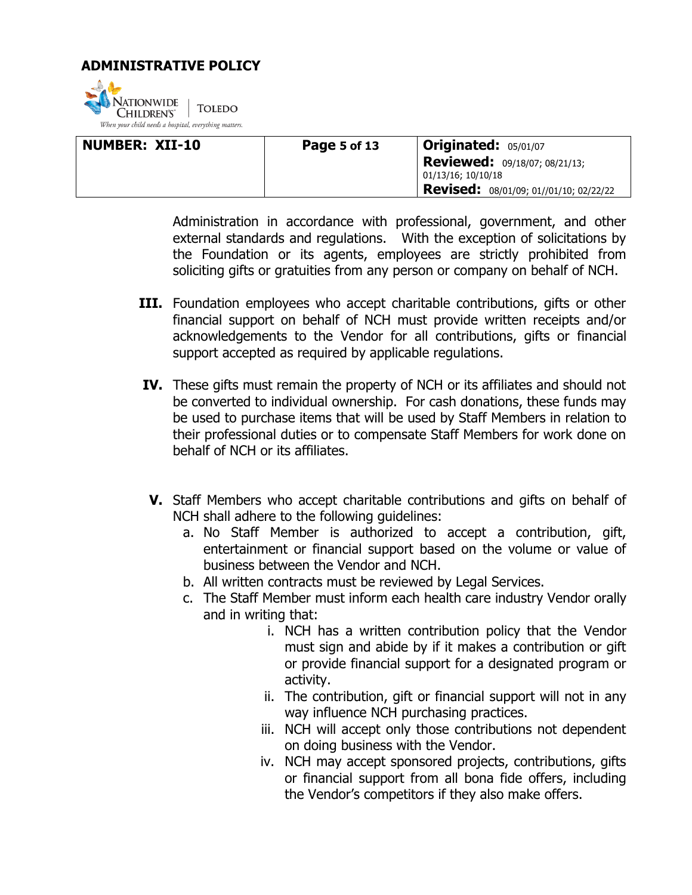

| NUMBER: XII-10 | <b>Page 5 of 13</b> | <b>Originated: 05/01/07</b>                                |
|----------------|---------------------|------------------------------------------------------------|
|                |                     | <b>Reviewed:</b> 09/18/07; 08/21/13;<br>01/13/16; 10/10/18 |
|                |                     | <b>Revised:</b> 08/01/09; 01//01/10; 02/22/22              |

Administration in accordance with professional, government, and other external standards and regulations. With the exception of solicitations by the Foundation or its agents, employees are strictly prohibited from soliciting gifts or gratuities from any person or company on behalf of NCH.

- **III.** Foundation employees who accept charitable contributions, gifts or other financial support on behalf of NCH must provide written receipts and/or acknowledgements to the Vendor for all contributions, gifts or financial support accepted as required by applicable regulations.
- **IV.** These gifts must remain the property of NCH or its affiliates and should not be converted to individual ownership. For cash donations, these funds may be used to purchase items that will be used by Staff Members in relation to their professional duties or to compensate Staff Members for work done on behalf of NCH or its affiliates.
- **V.** Staff Members who accept charitable contributions and gifts on behalf of NCH shall adhere to the following guidelines:
	- a. No Staff Member is authorized to accept a contribution, gift, entertainment or financial support based on the volume or value of business between the Vendor and NCH.
	- b. All written contracts must be reviewed by Legal Services.
	- c. The Staff Member must inform each health care industry Vendor orally and in writing that:
		- i. NCH has a written contribution policy that the Vendor must sign and abide by if it makes a contribution or gift or provide financial support for a designated program or activity.
		- ii. The contribution, gift or financial support will not in any way influence NCH purchasing practices.
		- iii. NCH will accept only those contributions not dependent on doing business with the Vendor.
		- iv. NCH may accept sponsored projects, contributions, gifts or financial support from all bona fide offers, including the Vendor's competitors if they also make offers.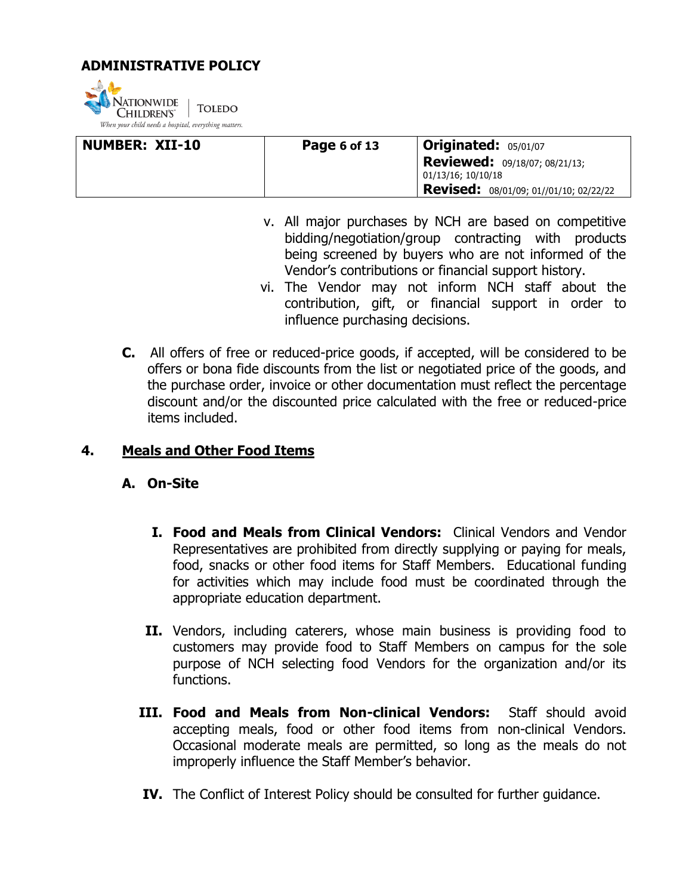

| NUMBER: XII-10 | Page 6 of 13 | $ $ Originated: $05/01/07$                                 |
|----------------|--------------|------------------------------------------------------------|
|                |              | <b>Reviewed:</b> 09/18/07; 08/21/13;<br>01/13/16; 10/10/18 |
|                |              | <b>Revised:</b> 08/01/09; 01//01/10; 02/22/22              |

- v. All major purchases by NCH are based on competitive bidding/negotiation/group contracting with products being screened by buyers who are not informed of the Vendor's contributions or financial support history.
- vi. The Vendor may not inform NCH staff about the contribution, gift, or financial support in order to influence purchasing decisions.
- **C.** All offers of free or reduced-price goods, if accepted, will be considered to be offers or bona fide discounts from the list or negotiated price of the goods, and the purchase order, invoice or other documentation must reflect the percentage discount and/or the discounted price calculated with the free or reduced-price items included.

### **4. Meals and Other Food Items**

- **A. On-Site** 
	- **I. Food and Meals from Clinical Vendors:** Clinical Vendors and Vendor Representatives are prohibited from directly supplying or paying for meals, food, snacks or other food items for Staff Members. Educational funding for activities which may include food must be coordinated through the appropriate education department.
	- **II.** Vendors, including caterers, whose main business is providing food to customers may provide food to Staff Members on campus for the sole purpose of NCH selecting food Vendors for the organization and/or its functions.
	- **III. Food and Meals from Non-clinical Vendors:** Staff should avoid accepting meals, food or other food items from non-clinical Vendors. Occasional moderate meals are permitted, so long as the meals do not improperly influence the Staff Member's behavior.
	- **IV.** The Conflict of Interest Policy should be consulted for further guidance.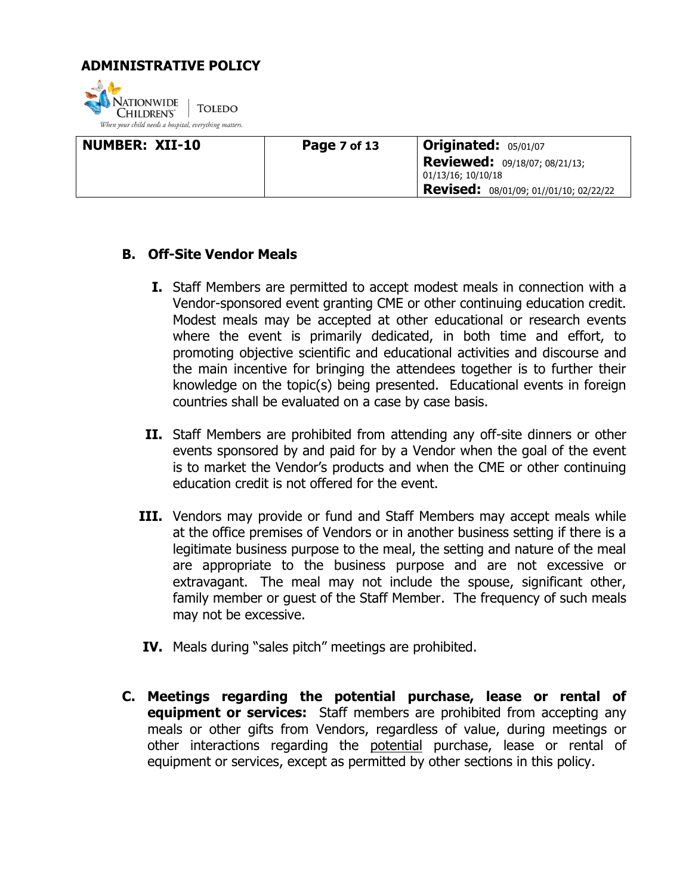

| NUMBER: XII-10 | Page 7 of 13 | <b>Originated: 05/01/07</b>                                |
|----------------|--------------|------------------------------------------------------------|
|                |              | <b>Reviewed:</b> 09/18/07; 08/21/13;<br>01/13/16; 10/10/18 |
|                |              | <b>Revised:</b> 08/01/09; 01//01/10; 02/22/22              |

### **B. Off-Site Vendor Meals**

- **I.** Staff Members are permitted to accept modest meals in connection with a Vendor-sponsored event granting CME or other continuing education credit. Modest meals may be accepted at other educational or research events where the event is primarily dedicated, in both time and effort, to promoting objective scientific and educational activities and discourse and the main incentive for bringing the attendees together is to further their knowledge on the topic(s) being presented. Educational events in foreign countries shall be evaluated on a case by case basis.
- **II.** Staff Members are prohibited from attending any off-site dinners or other events sponsored by and paid for by a Vendor when the goal of the event is to market the Vendor's products and when the CME or other continuing education credit is not offered for the event.
- **III.** Vendors may provide or fund and Staff Members may accept meals while at the office premises of Vendors or in another business setting if there is a legitimate business purpose to the meal, the setting and nature of the meal are appropriate to the business purpose and are not excessive or extravagant. The meal may not include the spouse, significant other, family member or guest of the Staff Member. The frequency of such meals may not be excessive.
- **IV.** Meals during "sales pitch" meetings are prohibited.
- **C. Meetings regarding the potential purchase, lease or rental of equipment or services:** Staff members are prohibited from accepting any meals or other gifts from Vendors, regardless of value, during meetings or other interactions regarding the potential purchase, lease or rental of equipment or services, except as permitted by other sections in this policy.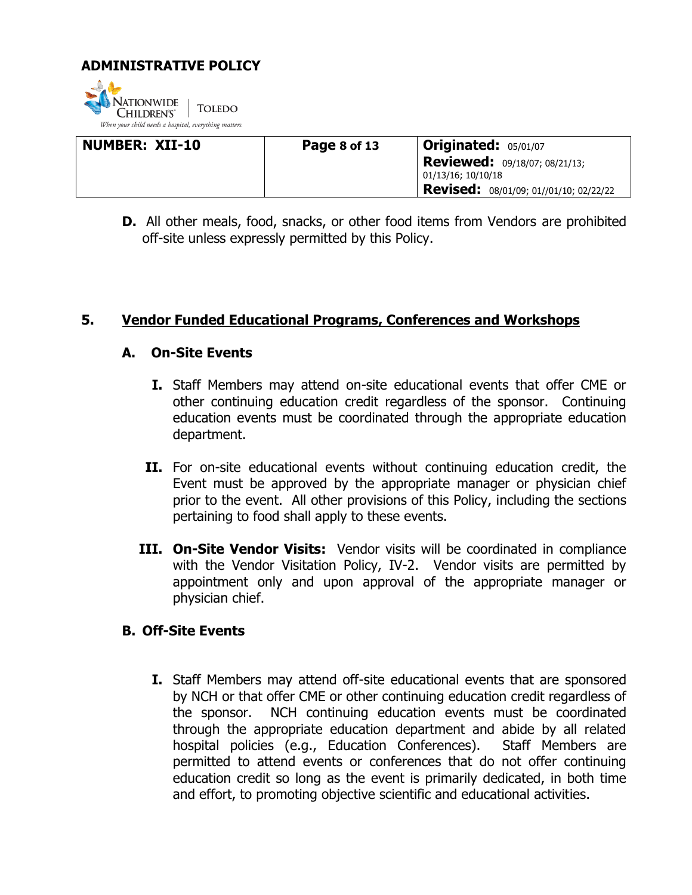

| <b>NUMBER: XII-10</b> | Page 8 of 13 | <b>Originated: 05/01/07</b>                                |
|-----------------------|--------------|------------------------------------------------------------|
|                       |              | <b>Reviewed:</b> 09/18/07; 08/21/13;<br>01/13/16; 10/10/18 |
|                       |              | Revised: 08/01/09; 01//01/10; 02/22/22                     |

**D.** All other meals, food, snacks, or other food items from Vendors are prohibited off-site unless expressly permitted by this Policy.

### **5. Vendor Funded Educational Programs, Conferences and Workshops**

### **A. On-Site Events**

- **I.** Staff Members may attend on-site educational events that offer CME or other continuing education credit regardless of the sponsor. Continuing education events must be coordinated through the appropriate education department.
- **II.** For on-site educational events without continuing education credit, the Event must be approved by the appropriate manager or physician chief prior to the event. All other provisions of this Policy, including the sections pertaining to food shall apply to these events.
- **III. On-Site Vendor Visits:** Vendor visits will be coordinated in compliance with the Vendor Visitation Policy, IV-2. Vendor visits are permitted by appointment only and upon approval of the appropriate manager or physician chief.

### **B. Off-Site Events**

**I.** Staff Members may attend off-site educational events that are sponsored by NCH or that offer CME or other continuing education credit regardless of the sponsor. NCH continuing education events must be coordinated through the appropriate education department and abide by all related hospital policies (e.g., Education Conferences). Staff Members are permitted to attend events or conferences that do not offer continuing education credit so long as the event is primarily dedicated, in both time and effort, to promoting objective scientific and educational activities.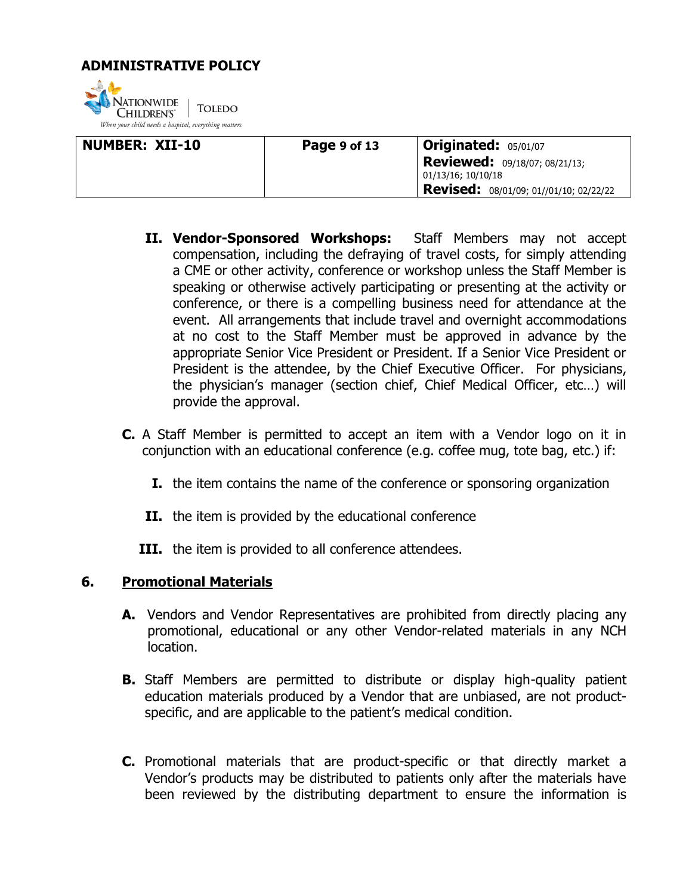

| NUMBER: XII-10 | Page 9 of 13 | <b>Originated: 05/01/07</b>                                |
|----------------|--------------|------------------------------------------------------------|
|                |              | <b>Reviewed:</b> 09/18/07; 08/21/13;<br>01/13/16; 10/10/18 |
|                |              | <b>Revised:</b> 08/01/09; 01//01/10; 02/22/22              |

- **II. Vendor-Sponsored Workshops:** Staff Members may not accept compensation, including the defraying of travel costs, for simply attending a CME or other activity, conference or workshop unless the Staff Member is speaking or otherwise actively participating or presenting at the activity or conference, or there is a compelling business need for attendance at the event. All arrangements that include travel and overnight accommodations at no cost to the Staff Member must be approved in advance by the appropriate Senior Vice President or President. If a Senior Vice President or President is the attendee, by the Chief Executive Officer. For physicians, the physician's manager (section chief, Chief Medical Officer, etc…) will provide the approval.
- **C.** A Staff Member is permitted to accept an item with a Vendor logo on it in conjunction with an educational conference (e.g. coffee mug, tote bag, etc.) if:
	- **I.** the item contains the name of the conference or sponsoring organization
	- **II.** the item is provided by the educational conference
	- **III.** the item is provided to all conference attendees.

### **6. Promotional Materials**

- **A.** Vendors and Vendor Representatives are prohibited from directly placing any promotional, educational or any other Vendor-related materials in any NCH location.
- **B.** Staff Members are permitted to distribute or display high-quality patient education materials produced by a Vendor that are unbiased, are not productspecific, and are applicable to the patient's medical condition.
- **C.** Promotional materials that are product-specific or that directly market a Vendor's products may be distributed to patients only after the materials have been reviewed by the distributing department to ensure the information is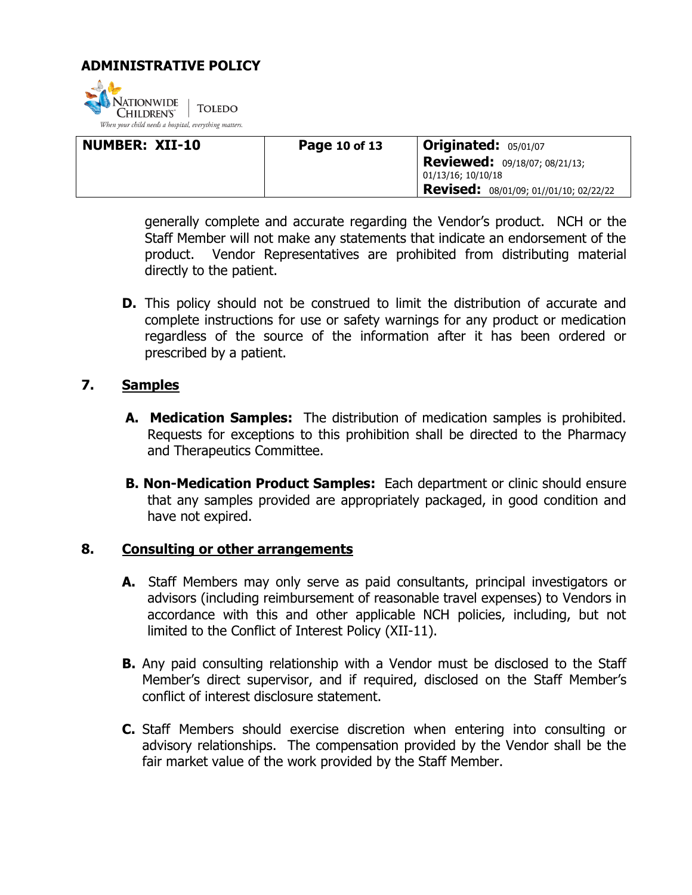

| <b>NUMBER: XII-10</b> | Page 10 of 13 | <b>Originated: 05/01/07</b>                                |
|-----------------------|---------------|------------------------------------------------------------|
|                       |               | <b>Reviewed:</b> 09/18/07; 08/21/13;<br>01/13/16; 10/10/18 |
|                       |               | Revised: 08/01/09; 01//01/10; 02/22/22                     |

generally complete and accurate regarding the Vendor's product. NCH or the Staff Member will not make any statements that indicate an endorsement of the product. Vendor Representatives are prohibited from distributing material directly to the patient.

**D.** This policy should not be construed to limit the distribution of accurate and complete instructions for use or safety warnings for any product or medication regardless of the source of the information after it has been ordered or prescribed by a patient.

### **7. Samples**

- **A. Medication Samples:** The distribution of medication samples is prohibited. Requests for exceptions to this prohibition shall be directed to the Pharmacy and Therapeutics Committee.
- **B. Non-Medication Product Samples:** Each department or clinic should ensure that any samples provided are appropriately packaged, in good condition and have not expired.

### **8. Consulting or other arrangements**

- **A.** Staff Members may only serve as paid consultants, principal investigators or advisors (including reimbursement of reasonable travel expenses) to Vendors in accordance with this and other applicable NCH policies, including, but not limited to the Conflict of Interest Policy (XII-11).
- **B.** Any paid consulting relationship with a Vendor must be disclosed to the Staff Member's direct supervisor, and if required, disclosed on the Staff Member's conflict of interest disclosure statement.
- **C.** Staff Members should exercise discretion when entering into consulting or advisory relationships. The compensation provided by the Vendor shall be the fair market value of the work provided by the Staff Member.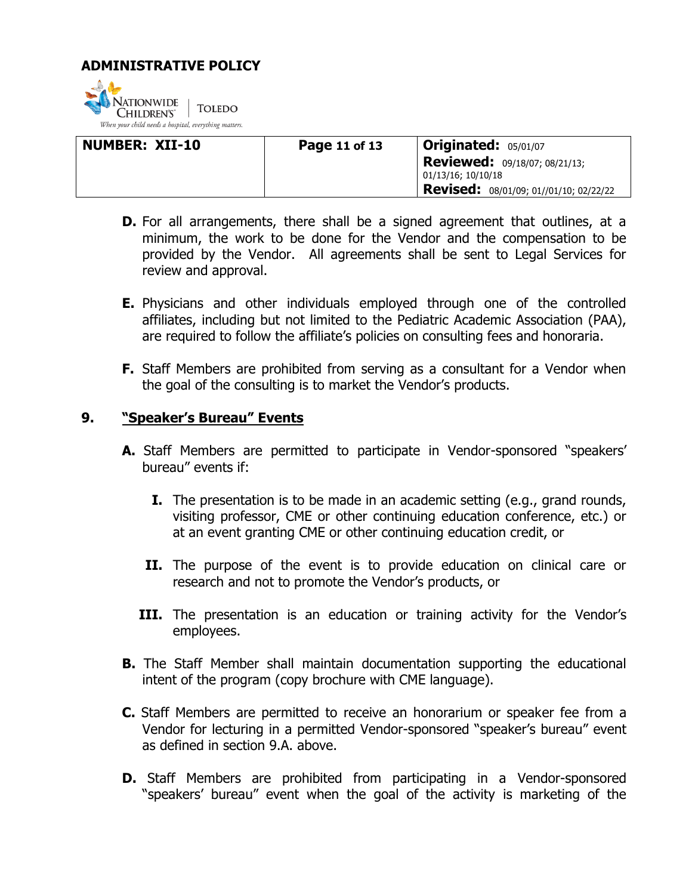

| <b>NUMBER: XII-10</b> | Page 11 of 13 | <b>Originated: 05/01/07</b>                                |
|-----------------------|---------------|------------------------------------------------------------|
|                       |               | <b>Reviewed:</b> 09/18/07; 08/21/13;<br>01/13/16; 10/10/18 |
|                       |               | Revised: 08/01/09; 01//01/10; 02/22/22                     |

- **D.** For all arrangements, there shall be a signed agreement that outlines, at a minimum, the work to be done for the Vendor and the compensation to be provided by the Vendor. All agreements shall be sent to Legal Services for review and approval.
- **E.** Physicians and other individuals employed through one of the controlled affiliates, including but not limited to the Pediatric Academic Association (PAA), are required to follow the affiliate's policies on consulting fees and honoraria.
- **F.** Staff Members are prohibited from serving as a consultant for a Vendor when the goal of the consulting is to market the Vendor's products.

### **9. "Speaker's Bureau" Events**

- **A.** Staff Members are permitted to participate in Vendor-sponsored "speakers' bureau" events if:
	- **I.** The presentation is to be made in an academic setting (e.g., grand rounds, visiting professor, CME or other continuing education conference, etc.) or at an event granting CME or other continuing education credit, or
	- **II.** The purpose of the event is to provide education on clinical care or research and not to promote the Vendor's products, or
	- **III.** The presentation is an education or training activity for the Vendor's employees.
- **B.** The Staff Member shall maintain documentation supporting the educational intent of the program (copy brochure with CME language).
- **C.** Staff Members are permitted to receive an honorarium or speaker fee from a Vendor for lecturing in a permitted Vendor-sponsored "speaker's bureau" event as defined in section 9.A. above.
- **D.** Staff Members are prohibited from participating in a Vendor-sponsored "speakers' bureau" event when the goal of the activity is marketing of the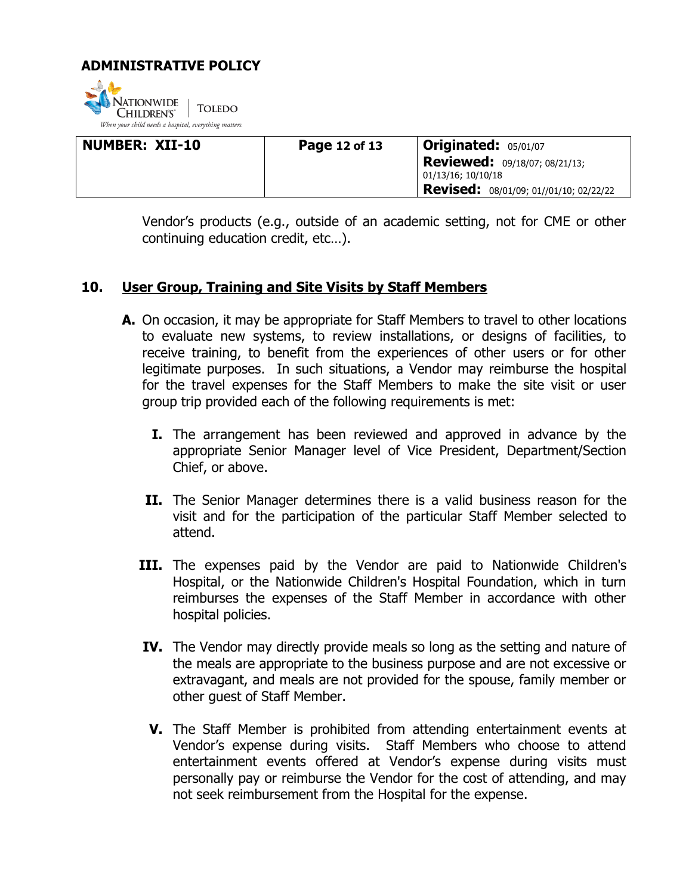

| NUMBER: XII-10 | <b>Page 12 of 13</b> | <b>Originated:</b> $05/01/07$                              |
|----------------|----------------------|------------------------------------------------------------|
|                |                      | <b>Reviewed:</b> 09/18/07; 08/21/13;<br>01/13/16; 10/10/18 |
|                |                      | Revised: 08/01/09; 01//01/10; 02/22/22                     |

Vendor's products (e.g., outside of an academic setting, not for CME or other continuing education credit, etc…).

### **10. User Group, Training and Site Visits by Staff Members**

- **A.** On occasion, it may be appropriate for Staff Members to travel to other locations to evaluate new systems, to review installations, or designs of facilities, to receive training, to benefit from the experiences of other users or for other legitimate purposes. In such situations, a Vendor may reimburse the hospital for the travel expenses for the Staff Members to make the site visit or user group trip provided each of the following requirements is met:
	- **I.** The arrangement has been reviewed and approved in advance by the appropriate Senior Manager level of Vice President, Department/Section Chief, or above.
	- **II.** The Senior Manager determines there is a valid business reason for the visit and for the participation of the particular Staff Member selected to attend.
	- **III.** The expenses paid by the Vendor are paid to Nationwide Children's Hospital, or the Nationwide Children's Hospital Foundation, which in turn reimburses the expenses of the Staff Member in accordance with other hospital policies.
	- **IV.** The Vendor may directly provide meals so long as the setting and nature of the meals are appropriate to the business purpose and are not excessive or extravagant, and meals are not provided for the spouse, family member or other guest of Staff Member.
	- **V.** The Staff Member is prohibited from attending entertainment events at Vendor's expense during visits. Staff Members who choose to attend entertainment events offered at Vendor's expense during visits must personally pay or reimburse the Vendor for the cost of attending, and may not seek reimbursement from the Hospital for the expense.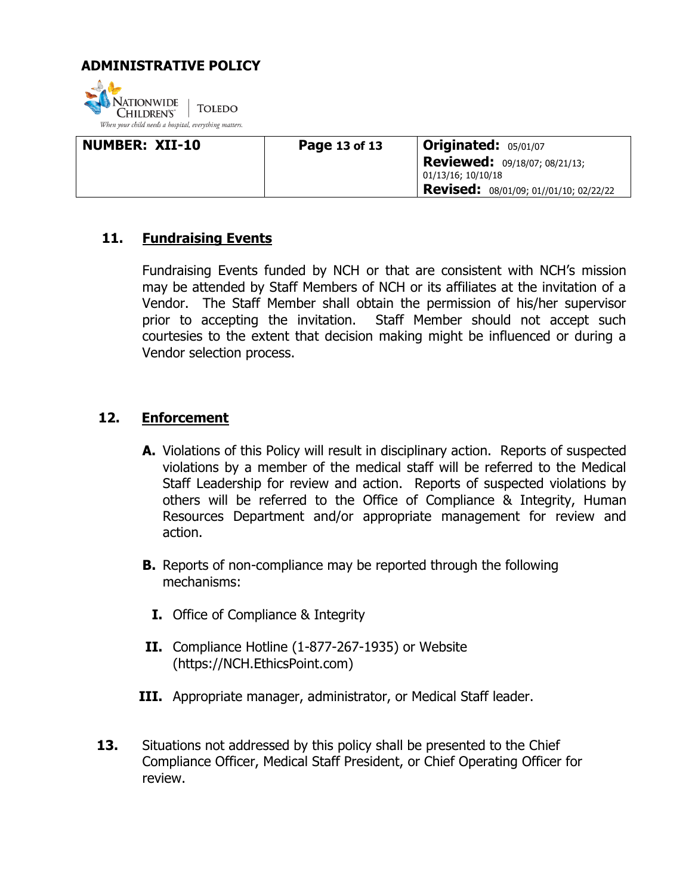

| <b>NUMBER: XII-10</b> | Page 13 of 13 | <b>Originated: 05/01/07</b>                                |
|-----------------------|---------------|------------------------------------------------------------|
|                       |               | <b>Reviewed:</b> 09/18/07; 08/21/13;<br>01/13/16; 10/10/18 |
|                       |               | Revised: 08/01/09; 01//01/10; 02/22/22                     |

### **11. Fundraising Events**

Fundraising Events funded by NCH or that are consistent with NCH's mission may be attended by Staff Members of NCH or its affiliates at the invitation of a Vendor. The Staff Member shall obtain the permission of his/her supervisor prior to accepting the invitation. Staff Member should not accept such courtesies to the extent that decision making might be influenced or during a Vendor selection process.

### **12. Enforcement**

- **A.** Violations of this Policy will result in disciplinary action. Reports of suspected violations by a member of the medical staff will be referred to the Medical Staff Leadership for review and action. Reports of suspected violations by others will be referred to the Office of Compliance & Integrity, Human Resources Department and/or appropriate management for review and action.
- **B.** Reports of non-compliance may be reported through the following mechanisms:
	- **I.** Office of Compliance & Integrity
- **II.** Compliance Hotline (1-877-267-1935) or Website (https://NCH.EthicsPoint.com)
- **III.** Appropriate manager, administrator, or Medical Staff leader.
- **13.** Situations not addressed by this policy shall be presented to the Chief Compliance Officer, Medical Staff President, or Chief Operating Officer for review.